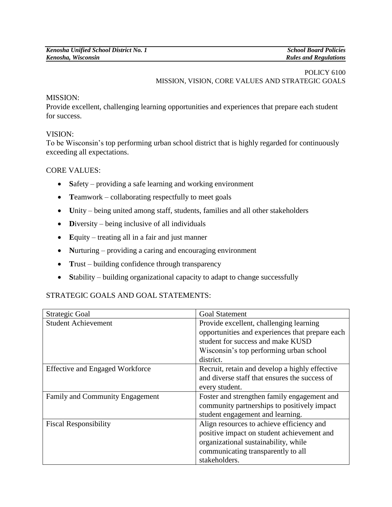# POLICY 6100 MISSION, VISION, CORE VALUES AND STRATEGIC GOALS

#### MISSION:

Provide excellent, challenging learning opportunities and experiences that prepare each student for success.

## VISION:

To be Wisconsin's top performing urban school district that is highly regarded for continuously exceeding all expectations.

## CORE VALUES:

- Safety providing a safe learning and working environment
- Teamwork collaborating respectfully to meet goals
- Unity being united among staff, students, families and all other stakeholders
- Diversity being inclusive of all individuals
- **E**quity treating all in a fair and just manner
- **N**urturing providing a caring and encouraging environment
- Trust building confidence through transparency
- Stability building organizational capacity to adapt to change successfully

# STRATEGIC GOALS AND GOAL STATEMENTS:

| Strategic Goal                         | <b>Goal Statement</b>                           |
|----------------------------------------|-------------------------------------------------|
| <b>Student Achievement</b>             | Provide excellent, challenging learning         |
|                                        | opportunities and experiences that prepare each |
|                                        | student for success and make KUSD               |
|                                        | Wisconsin's top performing urban school         |
|                                        | district.                                       |
| <b>Effective and Engaged Workforce</b> | Recruit, retain and develop a highly effective  |
|                                        | and diverse staff that ensures the success of   |
|                                        | every student.                                  |
| Family and Community Engagement        | Foster and strengthen family engagement and     |
|                                        | community partnerships to positively impact     |
|                                        | student engagement and learning.                |
| <b>Fiscal Responsibility</b>           | Align resources to achieve efficiency and       |
|                                        | positive impact on student achievement and      |
|                                        | organizational sustainability, while            |
|                                        | communicating transparently to all              |
|                                        | stakeholders.                                   |